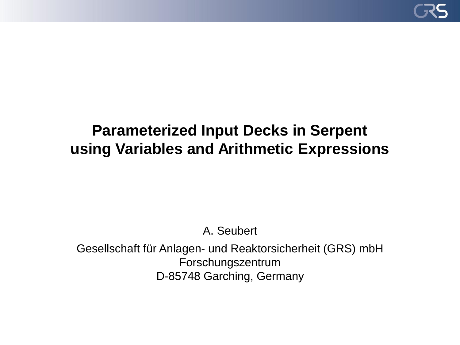

## **Parameterized Input Decks in Serpent using Variables and Arithmetic Expressions**

A. Seubert

Gesellschaft für Anlagen- und Reaktorsicherheit (GRS) mbH Forschungszentrum D-85748 Garching, Germany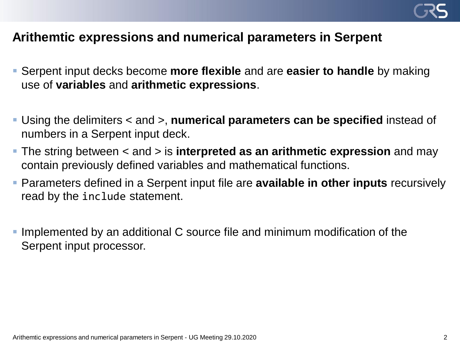

## **Arithemtic expressions and numerical parameters in Serpent**

- Serpent input decks become **more flexible** and are **easier to handle** by making use of **variables** and **arithmetic expressions**.
- Using the delimiters < and >, **numerical parameters can be specified** instead of numbers in a Serpent input deck.
- The string between < and > is **interpreted as an arithmetic expression** and may contain previously defined variables and mathematical functions.
- Parameters defined in a Serpent input file are **available in other inputs** recursively read by the include statement.
- **.** Implemented by an additional C source file and minimum modification of the Serpent input processor.